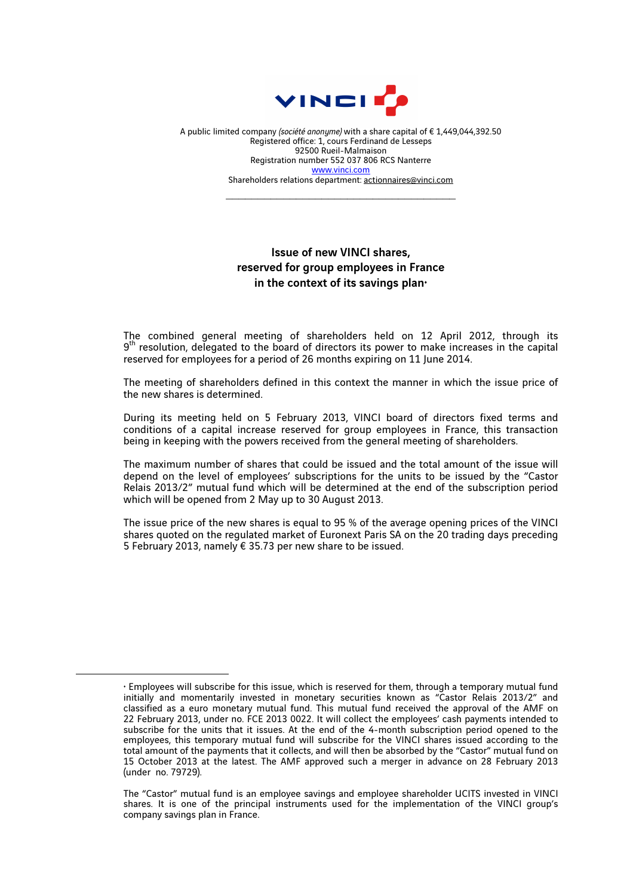

A public limited company *(société anonyme)* with a share capital of € 1,449,044,392.50 Registered office: 1, cours Ferdinand de Lesseps 92500 Rueil-Malmaison Registration number 552 037 806 RCS Nanterre www.vinci.com Shareholders relations department: actionnaires@vinci.com

 $\mathcal{L}_\text{max}$  , and the set of the set of the set of the set of the set of the set of the set of the set of the set of the set of the set of the set of the set of the set of the set of the set of the set of the set of the

## Issue of new VINCI shares, reserved for group employees in France in the context of its savings plan $\cdot$

The combined general meeting of shareholders held on 12 April 2012, through its  $9<sup>th</sup>$  resolution, delegated to the board of directors its power to make increases in the capital reserved for employees for a period of 26 months expiring on 11 June 2014.

The meeting of shareholders defined in this context the manner in which the issue price of the new shares is determined.

During its meeting held on 5 February 2013, VINCI board of directors fixed terms and conditions of a capital increase reserved for group employees in France, this transaction being in keeping with the powers received from the general meeting of shareholders.

The maximum number of shares that could be issued and the total amount of the issue will depend on the level of employees' subscriptions for the units to be issued by the "Castor Relais 2013/2" mutual fund which will be determined at the end of the subscription period which will be opened from 2 May up to 30 August 2013.

The issue price of the new shares is equal to 95 % of the average opening prices of the VINCI shares quoted on the regulated market of Euronext Paris SA on the 20 trading days preceding 5 February 2013, namely € 35.73 per new share to be issued.

 $\overline{a}$ 

<sup>♦</sup> Employees will subscribe for this issue, which is reserved for them, through a temporary mutual fund initially and momentarily invested in monetary securities known as "Castor Relais 2013/2" and classified as a euro monetary mutual fund. This mutual fund received the approval of the AMF on 22 February 2013, under no. FCE 2013 0022. It will collect the employees' cash payments intended to subscribe for the units that it issues. At the end of the 4-month subscription period opened to the employees, this temporary mutual fund will subscribe for the VINCI shares issued according to the total amount of the payments that it collects, and will then be absorbed by the "Castor" mutual fund on 15 October 2013 at the latest. The AMF approved such a merger in advance on 28 February 2013 (under no. 79729).

The "Castor" mutual fund is an employee savings and employee shareholder UCITS invested in VINCI shares. It is one of the principal instruments used for the implementation of the VINCI group's company savings plan in France.